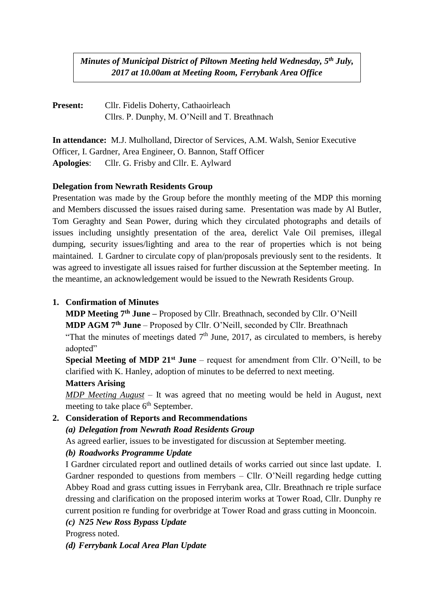*Minutes of Municipal District of Piltown Meeting held Wednesday, 5 th July, 2017 at 10.00am at Meeting Room, Ferrybank Area Office*

**Present:** Cllr. Fidelis Doherty, Cathaoirleach Cllrs. P. Dunphy, M. O'Neill and T. Breathnach

**In attendance:** M.J. Mulholland, Director of Services, A.M. Walsh, Senior Executive Officer, I. Gardner, Area Engineer, O. Bannon, Staff Officer **Apologies**: Cllr. G. Frisby and Cllr. E. Aylward

#### **Delegation from Newrath Residents Group**

Presentation was made by the Group before the monthly meeting of the MDP this morning and Members discussed the issues raised during same. Presentation was made by Al Butler, Tom Geraghty and Sean Power, during which they circulated photographs and details of issues including unsightly presentation of the area, derelict Vale Oil premises, illegal dumping, security issues/lighting and area to the rear of properties which is not being maintained. I. Gardner to circulate copy of plan/proposals previously sent to the residents. It was agreed to investigate all issues raised for further discussion at the September meeting. In the meantime, an acknowledgement would be issued to the Newrath Residents Group.

#### **1. Confirmation of Minutes**

**MDP Meeting 7th June –** Proposed by Cllr. Breathnach, seconded by Cllr. O'Neill **MDP AGM 7th June** – Proposed by Cllr. O'Neill, seconded by Cllr. Breathnach "That the minutes of meetings dated  $7<sup>th</sup>$  June, 2017, as circulated to members, is hereby adopted"

**Special Meeting of MDP 21st June** – request for amendment from Cllr. O'Neill, to be clarified with K. Hanley, adoption of minutes to be deferred to next meeting.

#### **Matters Arising**

*MDP Meeting August* – It was agreed that no meeting would be held in August, next meeting to take place  $6<sup>th</sup>$  September.

# **2. Consideration of Reports and Recommendations**

#### *(a) Delegation from Newrath Road Residents Group*

As agreed earlier, issues to be investigated for discussion at September meeting.

#### *(b) Roadworks Programme Update*

I Gardner circulated report and outlined details of works carried out since last update. I. Gardner responded to questions from members – Cllr. O'Neill regarding hedge cutting Abbey Road and grass cutting issues in Ferrybank area, Cllr. Breathnach re triple surface dressing and clarification on the proposed interim works at Tower Road, Cllr. Dunphy re current position re funding for overbridge at Tower Road and grass cutting in Mooncoin.

*(c) N25 New Ross Bypass Update*

Progress noted.

*(d) Ferrybank Local Area Plan Update*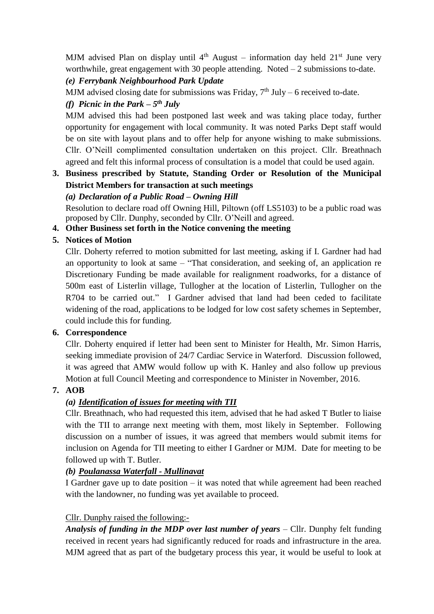MJM advised Plan on display until  $4<sup>th</sup>$  August – information day held  $21<sup>st</sup>$  June very worthwhile, great engagement with 30 people attending. Noted – 2 submissions to-date.

#### *(e) Ferrybank Neighbourhood Park Update*

MJM advised closing date for submissions was Friday,  $7<sup>th</sup>$  July – 6 received to-date.

# *(f) Picnic in the Park – 5 th July*

MJM advised this had been postponed last week and was taking place today, further opportunity for engagement with local community. It was noted Parks Dept staff would be on site with layout plans and to offer help for anyone wishing to make submissions. Cllr. O'Neill complimented consultation undertaken on this project. Cllr. Breathnach agreed and felt this informal process of consultation is a model that could be used again.

#### **3. Business prescribed by Statute, Standing Order or Resolution of the Municipal District Members for transaction at such meetings**

## *(a) Declaration of a Public Road – Owning Hill*

Resolution to declare road off Owning Hill, Piltown (off LS5103) to be a public road was proposed by Cllr. Dunphy, seconded by Cllr. O'Neill and agreed.

#### **4. Other Business set forth in the Notice convening the meeting**

## **5. Notices of Motion**

Cllr. Doherty referred to motion submitted for last meeting, asking if I. Gardner had had an opportunity to look at same – "That consideration, and seeking of, an application re Discretionary Funding be made available for realignment roadworks, for a distance of 500m east of Listerlin village, Tullogher at the location of Listerlin, Tullogher on the R704 to be carried out." I Gardner advised that land had been ceded to facilitate widening of the road, applications to be lodged for low cost safety schemes in September, could include this for funding.

## **6. Correspondence**

Cllr. Doherty enquired if letter had been sent to Minister for Health, Mr. Simon Harris, seeking immediate provision of 24/7 Cardiac Service in Waterford. Discussion followed, it was agreed that AMW would follow up with K. Hanley and also follow up previous Motion at full Council Meeting and correspondence to Minister in November, 2016.

## **7. AOB**

# *(a) Identification of issues for meeting with TII*

Cllr. Breathnach, who had requested this item, advised that he had asked T Butler to liaise with the TII to arrange next meeting with them, most likely in September. Following discussion on a number of issues, it was agreed that members would submit items for inclusion on Agenda for TII meeting to either I Gardner or MJM. Date for meeting to be followed up with T. Butler.

## *(b) Poulanassa Waterfall - Mullinavat*

I Gardner gave up to date position – it was noted that while agreement had been reached with the landowner, no funding was yet available to proceed.

## Cllr. Dunphy raised the following:-

*Analysis of funding in the MDP over last number of years* – Cllr. Dunphy felt funding received in recent years had significantly reduced for roads and infrastructure in the area. MJM agreed that as part of the budgetary process this year, it would be useful to look at